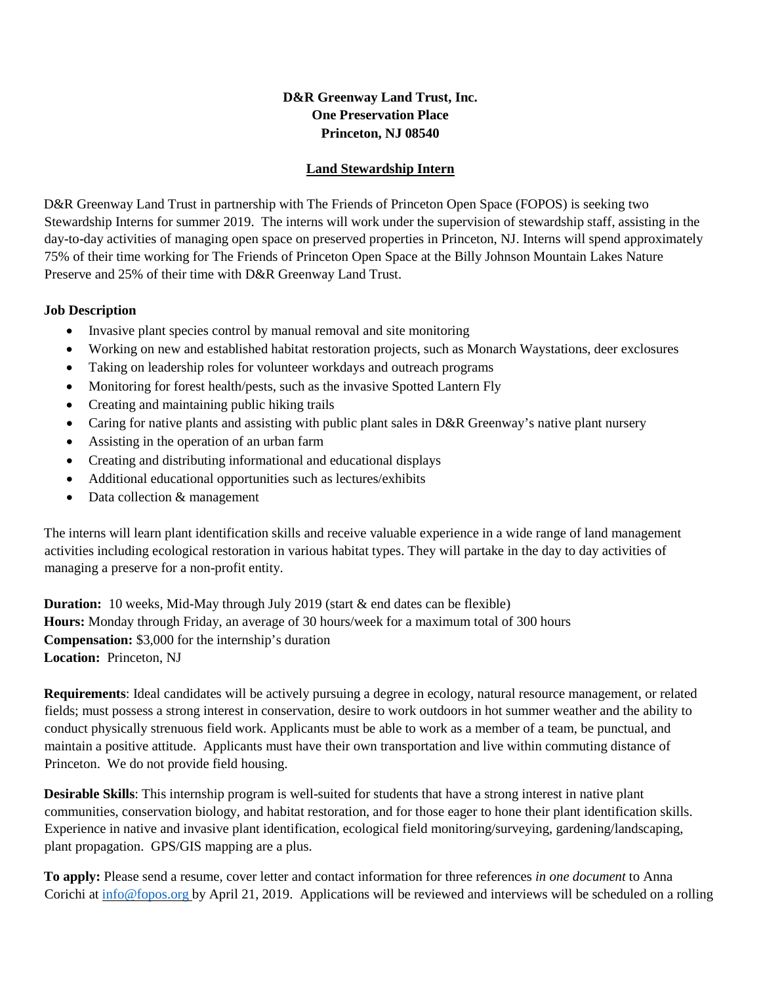## **D&R Greenway Land Trust, Inc. One Preservation Place Princeton, NJ 08540**

## **Land Stewardship Intern**

D&R Greenway Land Trust in partnership with The Friends of Princeton Open Space (FOPOS) is seeking two Stewardship Interns for summer 2019. The interns will work under the supervision of stewardship staff, assisting in the day-to-day activities of managing open space on preserved properties in Princeton, NJ. Interns will spend approximately 75% of their time working for The Friends of Princeton Open Space at the Billy Johnson Mountain Lakes Nature Preserve and 25% of their time with D&R Greenway Land Trust.

## **Job Description**

- Invasive plant species control by manual removal and site monitoring
- Working on new and established habitat restoration projects, such as Monarch Waystations, deer exclosures
- Taking on leadership roles for volunteer workdays and outreach programs
- Monitoring for forest health/pests, such as the invasive Spotted Lantern Fly
- Creating and maintaining public hiking trails
- Caring for native plants and assisting with public plant sales in D&R Greenway's native plant nursery
- Assisting in the operation of an urban farm
- Creating and distributing informational and educational displays
- Additional educational opportunities such as lectures/exhibits
- Data collection & management

The interns will learn plant identification skills and receive valuable experience in a wide range of land management activities including ecological restoration in various habitat types. They will partake in the day to day activities of managing a preserve for a non-profit entity.

**Duration:** 10 weeks, Mid-May through July 2019 (start & end dates can be flexible) **Hours:** Monday through Friday, an average of 30 hours/week for a maximum total of 300 hours **Compensation:** \$3,000 for the internship's duration **Location:** Princeton, NJ

**Requirements**: Ideal candidates will be actively pursuing a degree in ecology, natural resource management, or related fields; must possess a strong interest in conservation, desire to work outdoors in hot summer weather and the ability to conduct physically strenuous field work. Applicants must be able to work as a member of a team, be punctual, and maintain a positive attitude. Applicants must have their own transportation and live within commuting distance of Princeton. We do not provide field housing.

**Desirable Skills**: This internship program is well-suited for students that have a strong interest in native plant communities, conservation biology, and habitat restoration, and for those eager to hone their plant identification skills. Experience in native and invasive plant identification, ecological field monitoring/surveying, gardening/landscaping, plant propagation. GPS/GIS mapping are a plus.

**To apply:** Please send a resume, cover letter and contact information for three references *in one document* to Anna Corichi at [info@fopos.org](mailto:info@fopos.org) by April 21, 2019. Applications will be reviewed and interviews will be scheduled on a rolling